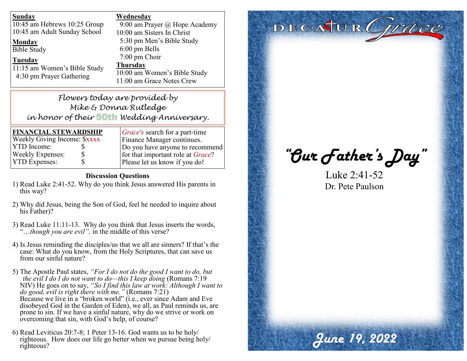| <b>Sunday</b>                | Wednesday                     |
|------------------------------|-------------------------------|
| 10:45 am Hebrews 10:25 Group | 9:00 am Prayer @ Hope Academy |
| 10:45 am Adult Sunday School | 10:00 am Sisters In Christ    |
| <b>Monday</b>                | 5:30 pm Men's Bible Study     |
| <b>Bible Study</b>           | $6:00 \text{ pm}$ Bells       |
| <b>Tuesday</b>               | 7:00 pm Choir                 |
| 11:15 am Women's Bible Study | <b>Thursday</b>               |
| 4:30 pm Prayer Gathering     | 10:00 am Women's Bible Study  |
|                              | 11:00 am Grace Notes Crew     |

# *Flowers today are provided by Mike & Donna Rutledge in honor of their* 50th *Wedding Anniversary.*

| <b>FINANCIAL STEWARDSHIP</b> |   |  |
|------------------------------|---|--|
| Weekly Giving Income: \$xxxx |   |  |
| <b>YTD</b> Income:           | ж |  |
| <b>Weekly Expenses:</b>      | S |  |
| <b>YTD Expenses:</b>         | S |  |

*Grace's* search for a part-time Finance Manager continues. Do you have anyone to recommend for that important role at *Grace*?

#### **Discussion Questions**

- 1) Read Luke 2:41-52. Why do you think Jesus answered His parents in this way?
- 2) Why did Jesus, being the Son of God, feel he needed to inquire about his Father)?
- 3) Read Luke 11:11-13. Why do you think that Jesus inserts the words, "…*though you are evil",* in the middle of this verse?
- 4) Is Jesus reminding the disciples/us that we all are sinners? If that's the case: What do you know, from the Holy Scriptures, that can save us from our sinful nature?
- 5) The Apostle Paul states, *"For I do not do the good I want to do, but the evil I do I do not want to do—this I keep doing* (Romans 7:19 NIV) He goes on to say, *"So I find this law at work: Although I want to do good, evil is right there with me."* (Romans 7:21) Because we live in a "broken world" (i.e., ever since Adam and Eve disobeyed God in the Garden of Eden), we all, as Paul reminds us, are prone to sin. If we have a sinful nature, why do we strive or work on overcoming that sin, with God's help, of course?
- 6) Read Leviticus 20:7-8; 1 Peter 13-16. God wants us to be holy/ righteous. How does our life go better when we pursue being holy/ righteous?

# DECATUR Grace

Please let us know if you do! *"Our Father's Day"* 

Luke 2:41-52 Dr. Pete Paulson

*June 19, 2022*